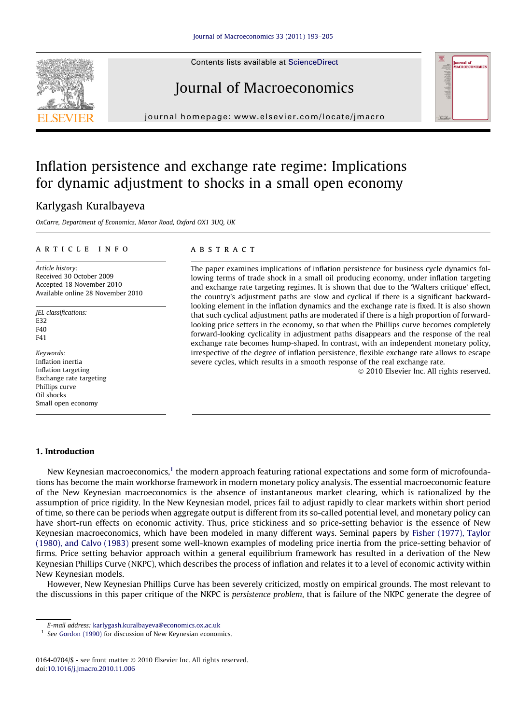Contents lists available at [ScienceDirect](http://www.sciencedirect.com/science/journal/01640704)

## Journal of Macroeconomics

journal homepage: [www.elsevier.com/locate/jmacro](http://www.elsevier.com/locate/jmacro)

### Inflation persistence and exchange rate regime: Implications for dynamic adjustment to shocks in a small open economy

### Karlygash Kuralbayeva

OxCarre, Department of Economics, Manor Road, Oxford OX1 3UQ, UK

#### article info

Article history: Received 30 October 2009 Accepted 18 November 2010 Available online 28 November 2010

JEL classifications: E32 F40 F41

Keywords: Inflation inertia Inflation targeting Exchange rate targeting Phillips curve Oil shocks Small open economy

#### 1. Introduction

#### **ABSTRACT**

The paper examines implications of inflation persistence for business cycle dynamics following terms of trade shock in a small oil producing economy, under inflation targeting and exchange rate targeting regimes. It is shown that due to the 'Walters critique' effect, the country's adjustment paths are slow and cyclical if there is a significant backwardlooking element in the inflation dynamics and the exchange rate is fixed. It is also shown that such cyclical adjustment paths are moderated if there is a high proportion of forwardlooking price setters in the economy, so that when the Phillips curve becomes completely forward-looking cyclicality in adjustment paths disappears and the response of the real exchange rate becomes hump-shaped. In contrast, with an independent monetary policy, irrespective of the degree of inflation persistence, flexible exchange rate allows to escape severe cycles, which results in a smooth response of the real exchange rate.

- 2010 Elsevier Inc. All rights reserved.

nal of

New Keynesian macroeconomics,<sup>1</sup> the modern approach featuring rational expectations and some form of microfoundations has become the main workhorse framework in modern monetary policy analysis. The essential macroeconomic feature of the New Keynesian macroeconomics is the absence of instantaneous market clearing, which is rationalized by the assumption of price rigidity. In the New Keynesian model, prices fail to adjust rapidly to clear markets within short period of time, so there can be periods when aggregate output is different from its so-called potential level, and monetary policy can have short-run effects on economic activity. Thus, price stickiness and so price-setting behavior is the essence of New Keynesian macroeconomics, which have been modeled in many different ways. Seminal papers by [Fisher \(1977\), Taylor](#page--1-0) [\(1980\), and Calvo \(1983\)](#page--1-0) present some well-known examples of modeling price inertia from the price-setting behavior of firms. Price setting behavior approach within a general equilibrium framework has resulted in a derivation of the New Keynesian Phillips Curve (NKPC), which describes the process of inflation and relates it to a level of economic activity within New Keynesian models.

However, New Keynesian Phillips Curve has been severely criticized, mostly on empirical grounds. The most relevant to the discussions in this paper critique of the NKPC is persistence problem, that is failure of the NKPC generate the degree of



E-mail address: [karlygash.kuralbayeva@economics.ox.ac.uk](mailto:karlygash.kuralbayeva@economics.ox.ac.uk)

<sup>&</sup>lt;sup>1</sup> See [Gordon \(1990\)](#page--1-0) for discussion of New Keynesian economics.

<sup>0164-0704/\$ -</sup> see front matter © 2010 Elsevier Inc. All rights reserved. doi:[10.1016/j.jmacro.2010.11.006](http://dx.doi.org/10.1016/j.jmacro.2010.11.006)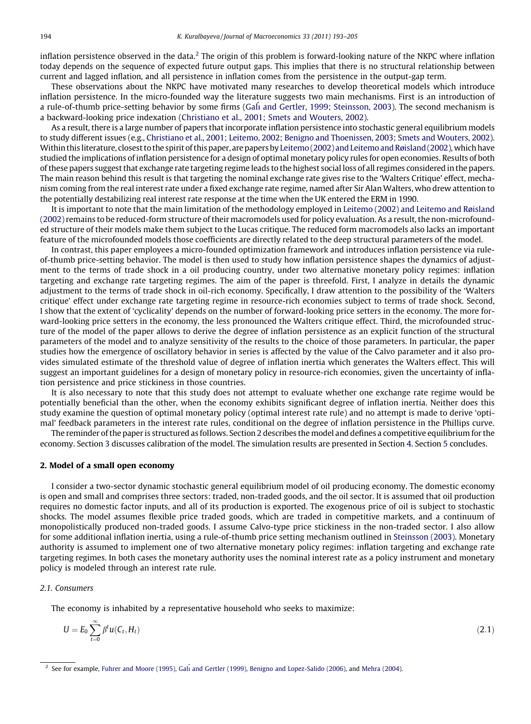inflation persistence observed in the data.<sup>2</sup> The origin of this problem is forward-looking nature of the NKPC where inflation today depends on the sequence of expected future output gaps. This implies that there is no structural relationship between current and lagged inflation, and all persistence in inflation comes from the persistence in the output-gap term.

These observations about the NKPC have motivated many researches to develop theoretical models which introduce inflation persistence. In the micro-founded way the literature suggests two main mechanisms. First is an introduction of a rule-of-thumb price-setting behavior by some firms (Gali [and Gertler, 1999; Steinsson, 2003\)](#page--1-0). The second mechanism is a backward-looking price indexation [\(Christiano et al., 2001; Smets and Wouters, 2002](#page--1-0)).

As a result, there is a large number of papers that incorporate inflation persistence into stochastic general equilibrium models to study different issues (e.g., [Christiano et al., 2001; Leitemo, 2002; Benigno and Thoenissen, 2003; Smets and Wouters, 2002\)](#page--1-0). Within this literature, closest to the spirit of this paper, are papers by [Leitemo \(2002\) and Leitemo and Røisland \(2002\),](#page--1-0) which have studied the implications of inflation persistence for a design of optimal monetary policy rules for open economies. Results of both of these papers suggest that exchange rate targeting regime leads to the highest social loss of all regimes considered in the papers. The main reason behind this result is that targeting the nominal exchange rate gives rise to the 'Walters Critique' effect, mechanism coming from the real interest rate under a fixed exchange rate regime, named after Sir Alan Walters, who drew attention to the potentially destabilizing real interest rate response at the time when the UK entered the ERM in 1990.

It is important to note that the main limitation of the methodology employed in [Leitemo \(2002\) and Leitemo and Røisland](#page--1-0) [\(2002\)](#page--1-0) remains to be reduced-form structure of their macromodels used for policy evaluation. As a result, the non-microfounded structure of their models make them subject to the Lucas critique. The reduced form macromodels also lacks an important feature of the microfounded models those coefficients are directly related to the deep structural parameters of the model.

In contrast, this paper employees a micro-founded optimization framework and introduces inflation persistence via ruleof-thumb price-setting behavior. The model is then used to study how inflation persistence shapes the dynamics of adjustment to the terms of trade shock in a oil producing country, under two alternative monetary policy regimes: inflation targeting and exchange rate targeting regimes. The aim of the paper is threefold. First, I analyze in details the dynamic adjustment to the terms of trade shock in oil-rich economy. Specifically, I draw attention to the possibility of the 'Walters critique' effect under exchange rate targeting regime in resource-rich economies subject to terms of trade shock. Second, I show that the extent of 'cyclicality' depends on the number of forward-looking price setters in the economy. The more forward-looking price setters in the economy, the less pronounced the Walters critique effect. Third, the microfounded structure of the model of the paper allows to derive the degree of inflation persistence as an explicit function of the structural parameters of the model and to analyze sensitivity of the results to the choice of those parameters. In particular, the paper studies how the emergence of oscillatory behavior in series is affected by the value of the Calvo parameter and it also provides simulated estimate of the threshold value of degree of inflation inertia which generates the Walters effect. This will suggest an important guidelines for a design of monetary policy in resource-rich economies, given the uncertainty of inflation persistence and price stickiness in those countries.

It is also necessary to note that this study does not attempt to evaluate whether one exchange rate regime would be potentially beneficial than the other, when the economy exhibits significant degree of inflation inertia. Neither does this study examine the question of optimal monetary policy (optimal interest rate rule) and no attempt is made to derive 'optimal' feedback parameters in the interest rate rules, conditional on the degree of inflation persistence in the Phillips curve.

The reminder of the paper is structured as follows. Section 2 describes the model and defines a competitive equilibrium for the economy. Section 3 discusses calibration of the model. The simulation results are presented in Section 4. Section 5 concludes.

#### 2. Model of a small open economy

I consider a two-sector dynamic stochastic general equilibrium model of oil producing economy. The domestic economy is open and small and comprises three sectors: traded, non-traded goods, and the oil sector. It is assumed that oil production requires no domestic factor inputs, and all of its production is exported. The exogenous price of oil is subject to stochastic shocks. The model assumes flexible price traded goods, which are traded in competitive markets, and a continuum of monopolistically produced non-traded goods. I assume Calvo-type price stickiness in the non-traded sector. I also allow for some additional inflation inertia, using a rule-of-thumb price setting mechanism outlined in [Steinsson \(2003\).](#page--1-0) Monetary authority is assumed to implement one of two alternative monetary policy regimes: inflation targeting and exchange rate targeting regimes. In both cases the monetary authority uses the nominal interest rate as a policy instrument and monetary policy is modeled through an interest rate rule.

#### 2.1. Consumers

The economy is inhabited by a representative household who seeks to maximize:

$$
U = E_0 \sum_{t=0}^{\infty} \beta^t u(C_t, H_t)
$$
\n(2.1)

<sup>&</sup>lt;sup>2</sup> See for example, [Fuhrer and Moore \(1995\), Gal](#page--1-0)i [and Gertler \(1999\), Benigno and Lopez-Salido \(2006\),](#page--1-0) and [Mehra \(2004\).](#page--1-0)